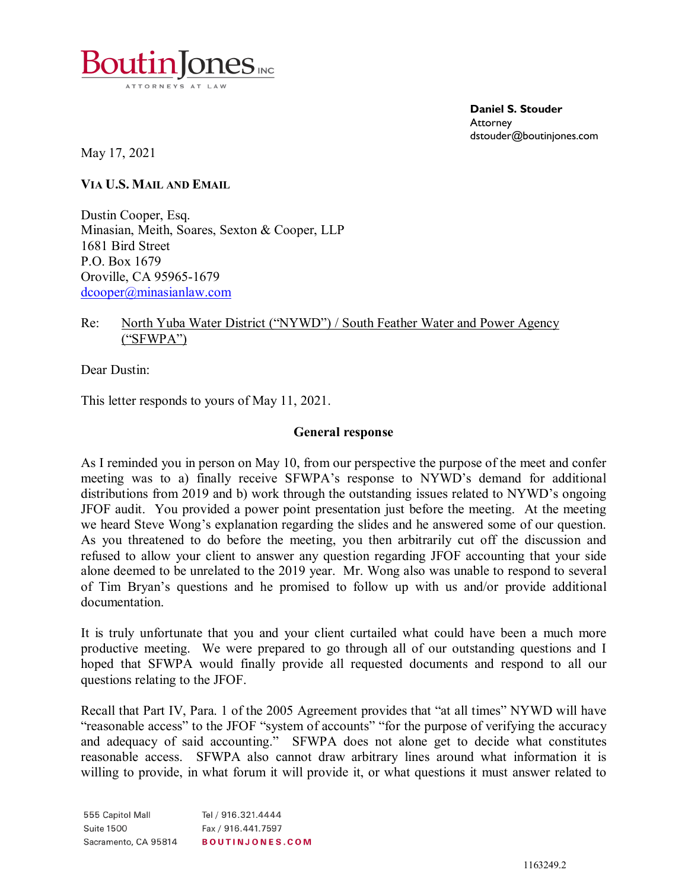

**Daniel S. Stouder Attorney** dstouder@boutinjones.com

May 17, 2021

**VIA U.S. MAIL AND EMAIL**

Dustin Cooper, Esq. Minasian, Meith, Soares, Sexton & Cooper, LLP 1681 Bird Street P.O. Box 1679 Oroville, CA 95965-1679 [dcooper@minasianlaw.com](mailto:dcooper@minasianlaw.com)

## Re: North Yuba Water District ("NYWD") / South Feather Water and Power Agency ("SFWPA")

Dear Dustin:

This letter responds to yours of May 11, 2021.

### **General response**

As I reminded you in person on May 10, from our perspective the purpose of the meet and confer meeting was to a) finally receive SFWPA's response to NYWD's demand for additional distributions from 2019 and b) work through the outstanding issues related to NYWD's ongoing JFOF audit. You provided a power point presentation just before the meeting. At the meeting we heard Steve Wong's explanation regarding the slides and he answered some of our question. As you threatened to do before the meeting, you then arbitrarily cut off the discussion and refused to allow your client to answer any question regarding JFOF accounting that your side alone deemed to be unrelated to the 2019 year. Mr. Wong also was unable to respond to several of Tim Bryan's questions and he promised to follow up with us and/or provide additional documentation.

It is truly unfortunate that you and your client curtailed what could have been a much more productive meeting. We were prepared to go through all of our outstanding questions and I hoped that SFWPA would finally provide all requested documents and respond to all our questions relating to the JFOF.

Recall that Part IV, Para. 1 of the 2005 Agreement provides that "at all times" NYWD will have "reasonable access" to the JFOF "system of accounts" "for the purpose of verifying the accuracy and adequacy of said accounting." SFWPA does not alone get to decide what constitutes reasonable access. SFWPA also cannot draw arbitrary lines around what information it is willing to provide, in what forum it will provide it, or what questions it must answer related to

555 Capitol Mall Tel / 916.321.4444 **Suite 1500** Fax / 916.441.7597 Sacramento, CA 95814 **BOUTINJONES.COM**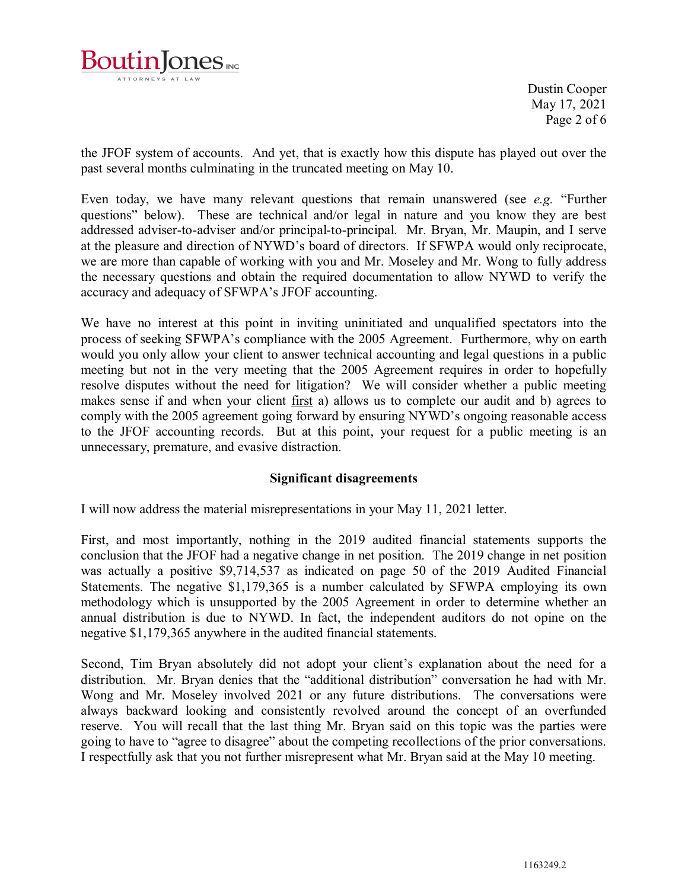

Dustin Cooper May 17, 2021 Page 2 of 6

the JFOF system of accounts. And yet, that is exactly how this dispute has played out over the past several months culminating in the truncated meeting on May 10.

Even today, we have many relevant questions that remain unanswered (see *e.g.* "Further questions" below). These are technical and/or legal in nature and you know they are best addressed adviser-to-adviser and/or principal-to-principal. Mr. Bryan, Mr. Maupin, and I serve at the pleasure and direction of NYWD's board of directors. If SFWPA would only reciprocate, we are more than capable of working with you and Mr. Moseley and Mr. Wong to fully address the necessary questions and obtain the required documentation to allow NYWD to verify the accuracy and adequacy of SFWPA's JFOF accounting.

We have no interest at this point in inviting uninitiated and unqualified spectators into the process of seeking SFWPA's compliance with the 2005 Agreement. Furthermore, why on earth would you only allow your client to answer technical accounting and legal questions in a public meeting but not in the very meeting that the 2005 Agreement requires in order to hopefully resolve disputes without the need for litigation? We will consider whether a public meeting makes sense if and when your client <u>first</u> a) allows us to complete our audit and b) agrees to comply with the 2005 agreement going forward by ensuring NYWD's ongoing reasonable access to the JFOF accounting records. But at this point, your request for a public meeting is an unnecessary, premature, and evasive distraction.

## **Significant disagreements**

I will now address the material misrepresentations in your May 11, 2021 letter.

First, and most importantly, nothing in the 2019 audited financial statements supports the conclusion that the JFOF had a negative change in net position. The 2019 change in net position was actually a positive \$9,714,537 as indicated on page 50 of the 2019 Audited Financial Statements. The negative \$1,179,365 is a number calculated by SFWPA employing its own methodology which is unsupported by the 2005 Agreement in order to determine whether an annual distribution is due to NYWD. In fact, the independent auditors do not opine on the negative \$1,179,365 anywhere in the audited financial statements.

Second, Tim Bryan absolutely did not adopt your client's explanation about the need for a distribution. Mr. Bryan denies that the "additional distribution" conversation he had with Mr. Wong and Mr. Moseley involved 2021 or any future distributions. The conversations were always backward looking and consistently revolved around the concept of an overfunded reserve. You will recall that the last thing Mr. Bryan said on this topic was the parties were going to have to "agree to disagree" about the competing recollections of the prior conversations. I respectfully ask that you not further misrepresent what Mr. Bryan said at the May 10 meeting.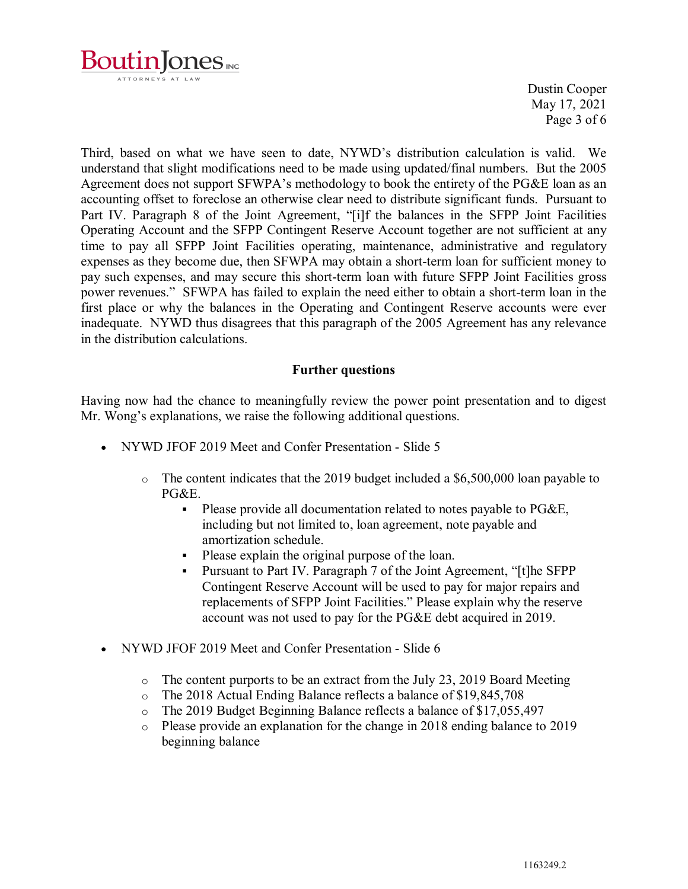

Dustin Cooper May 17, 2021 Page 3 of 6

Third, based on what we have seen to date, NYWD's distribution calculation is valid. We understand that slight modifications need to be made using updated/final numbers. But the 2005 Agreement does not support SFWPA's methodology to book the entirety of the PG&E loan as an accounting offset to foreclose an otherwise clear need to distribute significant funds. Pursuant to Part IV. Paragraph 8 of the Joint Agreement, "[i]f the balances in the SFPP Joint Facilities Operating Account and the SFPP Contingent Reserve Account together are not sufficient at any time to pay all SFPP Joint Facilities operating, maintenance, administrative and regulatory expenses as they become due, then SFWPA may obtain a short-term loan for sufficient money to pay such expenses, and may secure this short-term loan with future SFPP Joint Facilities gross power revenues." SFWPA has failed to explain the need either to obtain a short-term loan in the first place or why the balances in the Operating and Contingent Reserve accounts were ever inadequate. NYWD thus disagrees that this paragraph of the 2005 Agreement has any relevance in the distribution calculations.

# **Further questions**

Having now had the chance to meaningfully review the power point presentation and to digest Mr. Wong's explanations, we raise the following additional questions.

- NYWD JFOF 2019 Meet and Confer Presentation Slide 5
	- o The content indicates that the 2019 budget included a \$6,500,000 loan payable to PG&E.
		- Please provide all documentation related to notes payable to PG&E, including but not limited to, loan agreement, note payable and amortization schedule.
		- Please explain the original purpose of the loan.
		- Pursuant to Part IV. Paragraph 7 of the Joint Agreement, "[t]he SFPP Contingent Reserve Account will be used to pay for major repairs and replacements of SFPP Joint Facilities." Please explain why the reserve account was not used to pay for the PG&E debt acquired in 2019.
- NYWD JFOF 2019 Meet and Confer Presentation Slide 6
	- $\circ$  The content purports to be an extract from the July 23, 2019 Board Meeting
	- o The 2018 Actual Ending Balance reflects a balance of \$19,845,708<br>
	o The 2019 Budget Beginning Balance reflects a balance of \$17.055.4
	- The 2019 Budget Beginning Balance reflects a balance of \$17,055,497
	- o Please provide an explanation for the change in 2018 ending balance to 2019 beginning balance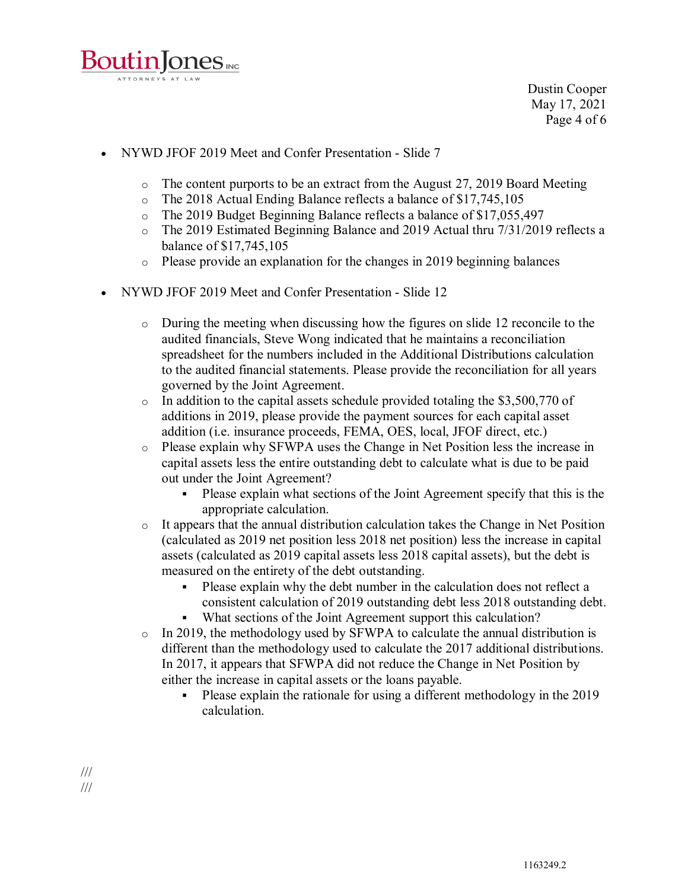

Dustin Cooper May 17, 2021 Page 4 of 6

- NYWD JFOF 2019 Meet and Confer Presentation Slide 7
	- $\circ$  The content purports to be an extract from the August 27, 2019 Board Meeting
	- o The 2018 Actual Ending Balance reflects a balance of \$17,745,105
	- o The 2019 Budget Beginning Balance reflects a balance of \$17,055,497<br>The 2019 Estimated Beginning Balance and 2019 Actual thru 7/31/201
	- The 2019 Estimated Beginning Balance and 2019 Actual thru 7/31/2019 reflects a balance of \$17,745,105
	- o Please provide an explanation for the changes in 2019 beginning balances
- NYWD JFOF 2019 Meet and Confer Presentation Slide 12
	- o During the meeting when discussing how the figures on slide 12 reconcile to the audited financials, Steve Wong indicated that he maintains a reconciliation spreadsheet for the numbers included in the Additional Distributions calculation to the audited financial statements. Please provide the reconciliation for all years governed by the Joint Agreement.
	- o In addition to the capital assets schedule provided totaling the \$3,500,770 of additions in 2019, please provide the payment sources for each capital asset addition (i.e. insurance proceeds, FEMA, OES, local, JFOF direct, etc.)
	- o Please explain why SFWPA uses the Change in Net Position less the increase in capital assets less the entire outstanding debt to calculate what is due to be paid out under the Joint Agreement?
		- Please explain what sections of the Joint Agreement specify that this is the appropriate calculation.
	- o It appears that the annual distribution calculation takes the Change in Net Position (calculated as 2019 net position less 2018 net position) less the increase in capital assets (calculated as 2019 capital assets less 2018 capital assets), but the debt is measured on the entirety of the debt outstanding.
		- Please explain why the debt number in the calculation does not reflect a consistent calculation of 2019 outstanding debt less 2018 outstanding debt.
		- What sections of the Joint Agreement support this calculation?
	- o In 2019, the methodology used by SFWPA to calculate the annual distribution is different than the methodology used to calculate the 2017 additional distributions. In 2017, it appears that SFWPA did not reduce the Change in Net Position by either the increase in capital assets or the loans payable.
		- Please explain the rationale for using a different methodology in the 2019 calculation.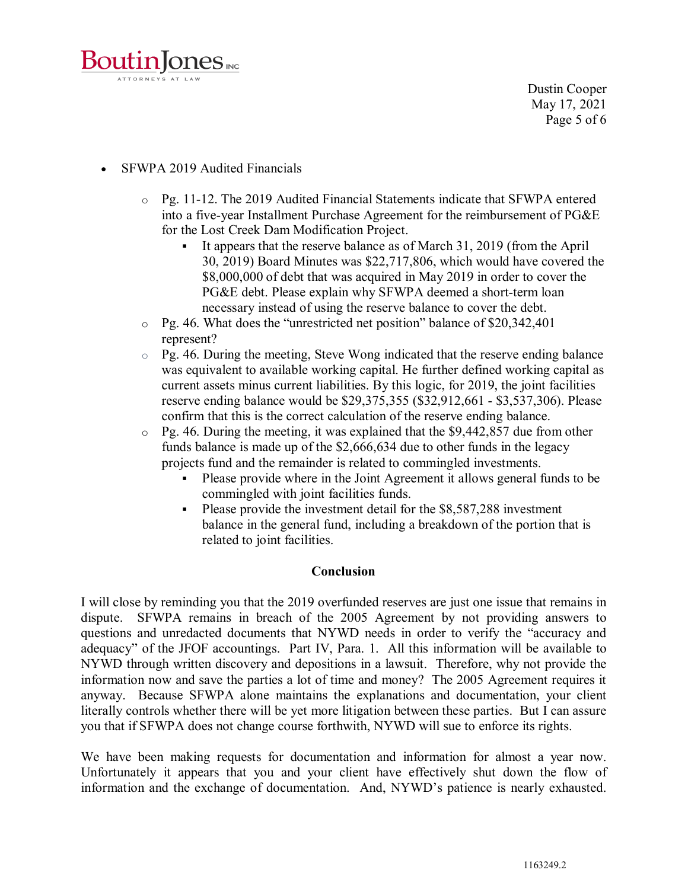

- SFWPA 2019 Audited Financials
	- o Pg. 11-12. The 2019 Audited Financial Statements indicate that SFWPA entered into a five-year Installment Purchase Agreement for the reimbursement of PG&E for the Lost Creek Dam Modification Project.
		- It appears that the reserve balance as of March 31, 2019 (from the April 30, 2019) Board Minutes was \$22,717,806, which would have covered the \$8,000,000 of debt that was acquired in May 2019 in order to cover the PG&E debt. Please explain why SFWPA deemed a short-term loan necessary instead of using the reserve balance to cover the debt.
	- o Pg. 46. What does the "unrestricted net position" balance of \$20,342,401 represent?
	- $\circ$  Pg. 46. During the meeting, Steve Wong indicated that the reserve ending balance was equivalent to available working capital. He further defined working capital as current assets minus current liabilities. By this logic, for 2019, the joint facilities reserve ending balance would be \$29,375,355 (\$32,912,661 - \$3,537,306). Please confirm that this is the correct calculation of the reserve ending balance.
	- $\degree$  Pg. 46. During the meeting, it was explained that the \$9,442,857 due from other funds balance is made up of the \$2,666,634 due to other funds in the legacy projects fund and the remainder is related to commingled investments.
		- Please provide where in the Joint Agreement it allows general funds to be commingled with joint facilities funds.
		- Please provide the investment detail for the \$8,587,288 investment balance in the general fund, including a breakdown of the portion that is related to joint facilities.

#### **Conclusion**

I will close by reminding you that the 2019 overfunded reserves are just one issue that remains in dispute. SFWPA remains in breach of the 2005 Agreement by not providing answers to questions and unredacted documents that NYWD needs in order to verify the "accuracy and adequacy" of the JFOF accountings. Part IV, Para. 1. All this information will be available to NYWD through written discovery and depositions in a lawsuit. Therefore, why not provide the information now and save the parties a lot of time and money? The 2005 Agreement requires it anyway. Because SFWPA alone maintains the explanations and documentation, your client literally controls whether there will be yet more litigation between these parties. But I can assure you that if SFWPA does not change course forthwith, NYWD will sue to enforce its rights.

We have been making requests for documentation and information for almost a year now. Unfortunately it appears that you and your client have effectively shut down the flow of information and the exchange of documentation. And, NYWD's patience is nearly exhausted.